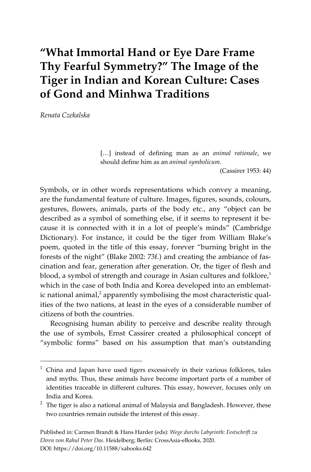# **"What Immortal Hand or Eye Dare Frame Thy Fearful Symmetry?" The Image of the Tiger in Indian and Korean Culture: Cases of Gond and Minhwa Traditions**

*Renata Czekalska* 

l

[…] instead of defining man as an *animal rationale*, we should define him as an *animal symbolicum*.

(Cassirer 1953: 44)

Symbols, or in other words representations which convey a meaning, are the fundamental feature of culture. Images, figures, sounds, colours, gestures, flowers, animals, parts of the body etc., any "object can be described as a symbol of something else, if it seems to represent it because it is connected with it in a lot of people's minds" (Cambridge Dictionary). For instance, it could be the tiger from William Blake's poem, quoted in the title of this essay, forever "burning bright in the forests of the night" (Blake 2002: 73f.) and creating the ambiance of fascination and fear, generation after generation. Or, the tiger of flesh and blood, a symbol of strength and courage in Asian cultures and folklore,<sup>1</sup> which in the case of both India and Korea developed into an emblematic national animal, $^2$  apparently symbolising the most characteristic qualities of the two nations, at least in the eyes of a considerable number of citizens of both the countries.

Recognising human ability to perceive and describe reality through the use of symbols, Ernst Cassirer created a philosophical concept of "symbolic forms" based on his assumption that man's outstanding

<sup>1</sup> China and Japan have used tigers excessively in their various folklores, tales and myths. Thus, these animals have become important parts of a number of identities traceable in different cultures. This essay, however, focuses only on India and Korea.

 $2$  The tiger is also a national animal of Malaysia and Bangladesh. However, these two countries remain outside the interest of this essay.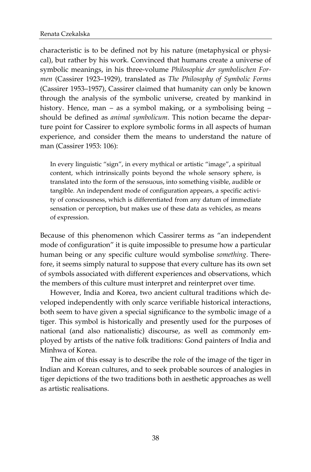characteristic is to be defined not by his nature (metaphysical or physical), but rather by his work. Convinced that humans create a universe of symbolic meanings, in his three-volume *Philosophie der symbolischen Formen* (Cassirer 1923–1929), translated as *The Philosophy of Symbolic Forms* (Cassirer 1953–1957), Cassirer claimed that humanity can only be known through the analysis of the symbolic universe, created by mankind in history. Hence, man – as a symbol making, or a symbolising being – should be defined as *animal symbolicum*. This notion became the departure point for Cassirer to explore symbolic forms in all aspects of human experience, and consider them the means to understand the nature of man (Cassirer 1953: 106):

In every linguistic "sign", in every mythical or artistic "image", a spiritual content, which intrinsically points beyond the whole sensory sphere, is translated into the form of the sensuous, into something visible, audible or tangible. An independent mode of configuration appears, a specific activity of consciousness, which is differentiated from any datum of immediate sensation or perception, but makes use of these data as vehicles, as means of expression.

Because of this phenomenon which Cassirer terms as "an independent mode of configuration" it is quite impossible to presume how a particular human being or any specific culture would symbolise *something*. Therefore, it seems simply natural to suppose that every culture has its own set of symbols associated with different experiences and observations, which the members of this culture must interpret and reinterpret over time.

However, India and Korea, two ancient cultural traditions which developed independently with only scarce verifiable historical interactions, both seem to have given a special significance to the symbolic image of a tiger. This symbol is historically and presently used for the purposes of national (and also nationalistic) discourse, as well as commonly employed by artists of the native folk traditions: Gond painters of India and Minhwa of Korea.

The aim of this essay is to describe the role of the image of the tiger in Indian and Korean cultures, and to seek probable sources of analogies in tiger depictions of the two traditions both in aesthetic approaches as well as artistic realisations.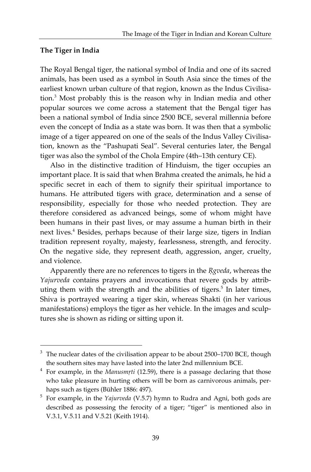## **The Tiger in India**

l

The Royal Bengal tiger, the national symbol of India and one of its sacred animals, has been used as a symbol in South Asia since the times of the earliest known urban culture of that region, known as the Indus Civilisation.<sup>3</sup> Most probably this is the reason why in Indian media and other popular sources we come across a statement that the Bengal tiger has been a national symbol of India since 2500 BCE, several millennia before even the concept of India as a state was born. It was then that a symbolic image of a tiger appeared on one of the seals of the Indus Valley Civilisation, known as the "Pashupati Seal". Several centuries later, the Bengal tiger was also the symbol of the Chola Empire (4th–13th century CE).

Also in the distinctive tradition of Hinduism, the tiger occupies an important place. It is said that when Brahma created the animals, he hid a specific secret in each of them to signify their spiritual importance to humans. He attributed tigers with grace, determination and a sense of responsibility, especially for those who needed protection. They are therefore considered as advanced beings, some of whom might have been humans in their past lives, or may assume a human birth in their next lives.<sup>4</sup> Besides, perhaps because of their large size, tigers in Indian tradition represent royalty, majesty, fearlessness, strength, and ferocity. On the negative side, they represent death, aggression, anger, cruelty, and violence.

Apparently there are no references to tigers in the *\$gveda*, whereas the *Yajurveda* contains prayers and invocations that revere gods by attributing them with the strength and the abilities of tigers.<sup>5</sup> In later times, Shiva is portrayed wearing a tiger skin, whereas Shakti (in her various manifestations) employs the tiger as her vehicle. In the images and sculptures she is shown as riding or sitting upon it.

 $3$  The nuclear dates of the civilisation appear to be about 2500–1700 BCE, though the southern sites may have lasted into the later 2nd millennium BCE.

<sup>&</sup>lt;sup>4</sup> For example, in the *Manusmrti* (12.59), there is a passage declaring that those who take pleasure in hurting others will be born as carnivorous animals, perhaps such as tigers (Bühler 1886: 497).

<sup>5</sup> For example, in the *Yajurveda* (V.5.7) hymn to Rudra and Agni, both gods are described as possessing the ferocity of a tiger; "tiger" is mentioned also in V.3.1, V.5.11 and V.5.21 (Keith 1914).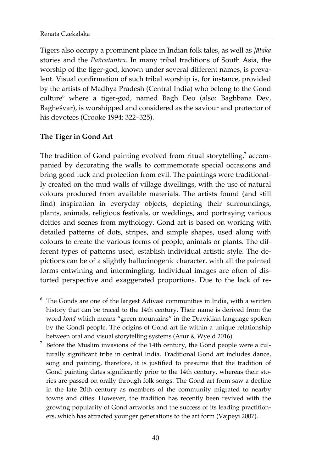Tigers also occupy a prominent place in Indian folk tales, as well as *Jātaka* stories and the *Pañcatantra*. In many tribal traditions of South Asia, the worship of the tiger-god, known under several different names, is prevalent. Visual confirmation of such tribal worship is, for instance, provided by the artists of Madhya Pradesh (Central India) who belong to the Gond culture<sup>6</sup> where a tiger-god, named Bagh Deo (also: Baghbana Dev, Bagheśvar), is worshipped and considered as the saviour and protector of his devotees (Crooke 1994: 322–325).

## **The Tiger in Gond Art**

l

The tradition of Gond painting evolved from ritual storytelling, $^7$  accompanied by decorating the walls to commemorate special occasions and bring good luck and protection from evil. The paintings were traditionally created on the mud walls of village dwellings, with the use of natural colours produced from available materials. The artists found (and still find) inspiration in everyday objects, depicting their surroundings, plants, animals, religious festivals, or weddings, and portraying various deities and scenes from mythology. Gond art is based on working with detailed patterns of dots, stripes, and simple shapes, used along with colours to create the various forms of people, animals or plants. The different types of patterns used, establish individual artistic style. The depictions can be of a slightly hallucinogenic character, with all the painted forms entwining and intermingling. Individual images are often of distorted perspective and exaggerated proportions. Due to the lack of re-

 $6$  The Gonds are one of the largest Adivasi communities in India, with a written history that can be traced to the 14th century. Their name is derived from the word *kond* which means "green mountains" in the Dravidian language spoken by the Gondi people. The origins of Gond art lie within a unique relationship between oral and visual storytelling systems (Arur & Wyeld 2016).

<sup>7</sup> Before the Muslim invasions of the 14th century, the Gond people were a culturally significant tribe in central India. Traditional Gond art includes dance, song and painting, therefore, it is justified to presume that the tradition of Gond painting dates significantly prior to the 14th century, whereas their stories are passed on orally through folk songs. The Gond art form saw a decline in the late 20th century as members of the community migrated to nearby towns and cities. However, the tradition has recently been revived with the growing popularity of Gond artworks and the success of its leading practitioners, which has attracted younger generations to the art form (Vajpeyi 2007).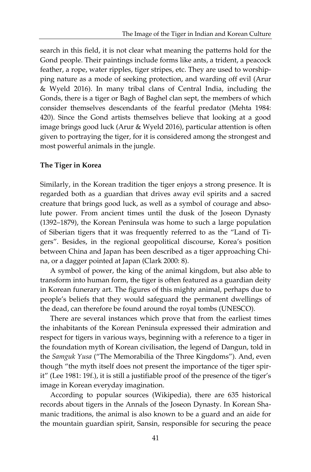search in this field, it is not clear what meaning the patterns hold for the Gond people. Their paintings include forms like ants, a trident, a peacock feather, a rope, water ripples, tiger stripes, etc. They are used to worshipping nature as a mode of seeking protection, and warding off evil (Arur & Wyeld 2016). In many tribal clans of Central India, including the Gonds, there is a tiger or Bagh of Baghel clan sept, the members of which consider themselves descendants of the fearful predator (Mehta 1984: 420). Since the Gond artists themselves believe that looking at a good image brings good luck (Arur & Wyeld 2016), particular attention is often given to portraying the tiger, for it is considered among the strongest and most powerful animals in the jungle.

#### **The Tiger in Korea**

Similarly, in the Korean tradition the tiger enjoys a strong presence. It is regarded both as a guardian that drives away evil spirits and a sacred creature that brings good luck, as well as a symbol of courage and absolute power. From ancient times until the dusk of the Joseon Dynasty (1392–1879), the Korean Peninsula was home to such a large population of Siberian tigers that it was frequently referred to as the "Land of Tigers". Besides, in the regional geopolitical discourse, Korea's position between China and Japan has been described as a tiger approaching China, or a dagger pointed at Japan (Clark 2000: 8).

A symbol of power, the king of the animal kingdom, but also able to transform into human form, the tiger is often featured as a guardian deity in Korean funerary art. The figures of this mighty animal, perhaps due to people's beliefs that they would safeguard the permanent dwellings of the dead, can therefore be found around the royal tombs (UNESCO).

There are several instances which prove that from the earliest times the inhabitants of the Korean Peninsula expressed their admiration and respect for tigers in various ways, beginning with a reference to a tiger in the foundation myth of Korean civilisation, the legend of Dangun, told in the *Samguk Yusa* ("The Memorabilia of the Three Kingdoms"). And, even though "the myth itself does not present the importance of the tiger spirit" (Lee 1981: 19f.), it is still a justifiable proof of the presence of the tiger's image in Korean everyday imagination.

According to popular sources (Wikipedia), there are 635 historical records about tigers in the Annals of the Joseon Dynasty. In Korean Shamanic traditions, the animal is also known to be a guard and an aide for the mountain guardian spirit, Sansin, responsible for securing the peace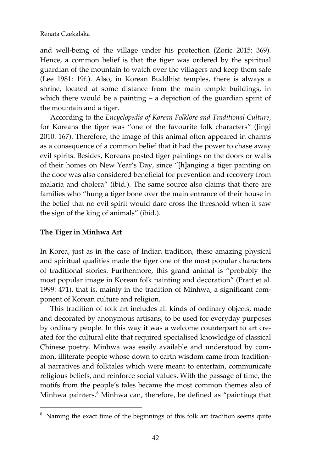and well-being of the village under his protection (Zoric 2015: 369). Hence, a common belief is that the tiger was ordered by the spiritual guardian of the mountain to watch over the villagers and keep them safe (Lee 1981: 19f.). Also, in Korean Buddhist temples, there is always a shrine, located at some distance from the main temple buildings, in which there would be a painting – a depiction of the guardian spirit of the mountain and a tiger.

According to the *Encyclopedia of Korean Folklore and Traditional Culture*, for Koreans the tiger was "one of the favourite folk characters" (Jingi 2010: 167). Therefore, the image of this animal often appeared in charms as a consequence of a common belief that it had the power to chase away evil spirits. Besides, Koreans posted tiger paintings on the doors or walls of their homes on New Year's Day, since "[h]anging a tiger painting on the door was also considered beneficial for prevention and recovery from malaria and cholera" (ibid.). The same source also claims that there are families who "hung a tiger bone over the main entrance of their house in the belief that no evil spirit would dare cross the threshold when it saw the sign of the king of animals" (ibid.).

## **The Tiger in Minhwa Art**

 $\overline{a}$ 

In Korea, just as in the case of Indian tradition, these amazing physical and spiritual qualities made the tiger one of the most popular characters of traditional stories. Furthermore, this grand animal is "probably the most popular image in Korean folk painting and decoration" (Pratt et al. 1999: 471), that is, mainly in the tradition of Minhwa, a significant component of Korean culture and religion.

This tradition of folk art includes all kinds of ordinary objects, made and decorated by anonymous artisans, to be used for everyday purposes by ordinary people. In this way it was a welcome counterpart to art created for the cultural elite that required specialised knowledge of classical Chinese poetry. Minhwa was easily available and understood by common, illiterate people whose down to earth wisdom came from traditional narratives and folktales which were meant to entertain, communicate religious beliefs, and reinforce social values. With the passage of time, the motifs from the people's tales became the most common themes also of Minhwa painters.<sup>8</sup> Minhwa can, therefore, be defined as "paintings that

<sup>&</sup>lt;sup>8</sup> Naming the exact time of the beginnings of this folk art tradition seems quite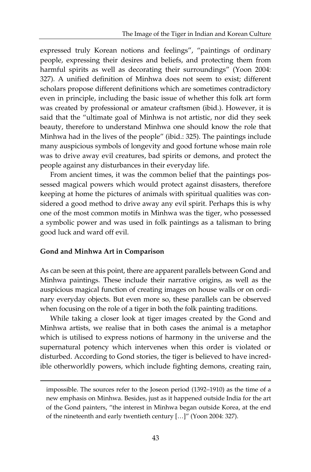expressed truly Korean notions and feelings", "paintings of ordinary people, expressing their desires and beliefs, and protecting them from harmful spirits as well as decorating their surroundings" (Yoon 2004: 327). A unified definition of Minhwa does not seem to exist; different scholars propose different definitions which are sometimes contradictory even in principle, including the basic issue of whether this folk art form was created by professional or amateur craftsmen (ibid.). However, it is said that the "ultimate goal of Minhwa is not artistic, nor did they seek beauty, therefore to understand Minhwa one should know the role that Minhwa had in the lives of the people" (ibid.: 325). The paintings include many auspicious symbols of longevity and good fortune whose main role was to drive away evil creatures, bad spirits or demons, and protect the people against any disturbances in their everyday life.

From ancient times, it was the common belief that the paintings possessed magical powers which would protect against disasters, therefore keeping at home the pictures of animals with spiritual qualities was considered a good method to drive away any evil spirit. Perhaps this is why one of the most common motifs in Minhwa was the tiger, who possessed a symbolic power and was used in folk paintings as a talisman to bring good luck and ward off evil.

#### **Gond and Minhwa Art in Comparison**

 $\overline{a}$ 

As can be seen at this point, there are apparent parallels between Gond and Minhwa paintings. These include their narrative origins, as well as the auspicious magical function of creating images on house walls or on ordinary everyday objects. But even more so, these parallels can be observed when focusing on the role of a tiger in both the folk painting traditions.

While taking a closer look at tiger images created by the Gond and Minhwa artists, we realise that in both cases the animal is a metaphor which is utilised to express notions of harmony in the universe and the supernatural potency which intervenes when this order is violated or disturbed. According to Gond stories, the tiger is believed to have incredible otherworldly powers, which include fighting demons, creating rain,

impossible. The sources refer to the Joseon period (1392–1910) as the time of a new emphasis on Minhwa. Besides, just as it happened outside India for the art of the Gond painters, "the interest in Minhwa began outside Korea, at the end of the nineteenth and early twentieth century […]" (Yoon 2004: 327).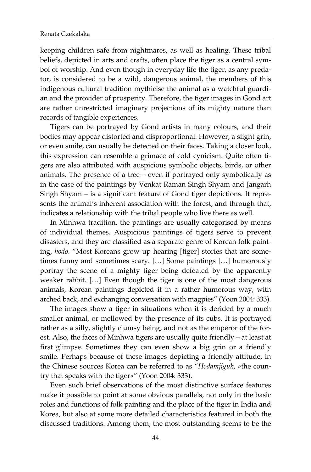keeping children safe from nightmares, as well as healing. These tribal beliefs, depicted in arts and crafts, often place the tiger as a central symbol of worship. And even though in everyday life the tiger, as any predator, is considered to be a wild, dangerous animal, the members of this indigenous cultural tradition mythicise the animal as a watchful guardian and the provider of prosperity. Therefore, the tiger images in Gond art are rather unrestricted imaginary projections of its mighty nature than records of tangible experiences.

Tigers can be portrayed by Gond artists in many colours, and their bodies may appear distorted and disproportional. However, a slight grin, or even smile, can usually be detected on their faces. Taking a closer look, this expression can resemble a grimace of cold cynicism. Quite often tigers are also attributed with auspicious symbolic objects, birds, or other animals. The presence of a tree – even if portrayed only symbolically as in the case of the paintings by Venkat Raman Singh Shyam and Jangarh Singh Shyam – is a significant feature of Gond tiger depictions. It represents the animal's inherent association with the forest, and through that, indicates a relationship with the tribal people who live there as well.

In Minhwa tradition, the paintings are usually categorised by means of individual themes. Auspicious paintings of tigers serve to prevent disasters, and they are classified as a separate genre of Korean folk painting, *hodo*. "Most Koreans grow up hearing [tiger] stories that are sometimes funny and sometimes scary. […] Some paintings […] humorously portray the scene of a mighty tiger being defeated by the apparently weaker rabbit. […] Even though the tiger is one of the most dangerous animals, Korean paintings depicted it in a rather humorous way, with arched back, and exchanging conversation with magpies" (Yoon 2004: 333).

The images show a tiger in situations when it is derided by a much smaller animal, or mellowed by the presence of its cubs. It is portrayed rather as a silly, slightly clumsy being, and not as the emperor of the forest. Also, the faces of Minhwa tigers are usually quite friendly – at least at first glimpse. Sometimes they can even show a big grin or a friendly smile. Perhaps because of these images depicting a friendly attitude, in the Chinese sources Korea can be referred to as "*Hodamjiguk*, »the country that speaks with the tiger«" (Yoon 2004: 333).

Even such brief observations of the most distinctive surface features make it possible to point at some obvious parallels, not only in the basic roles and functions of folk painting and the place of the tiger in India and Korea, but also at some more detailed characteristics featured in both the discussed traditions. Among them, the most outstanding seems to be the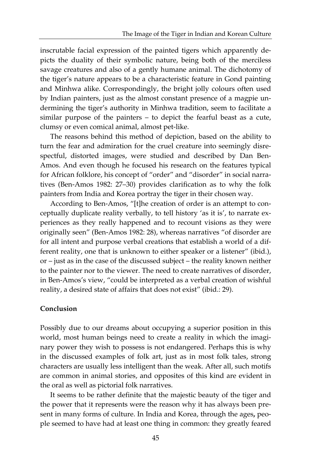inscrutable facial expression of the painted tigers which apparently depicts the duality of their symbolic nature, being both of the merciless savage creatures and also of a gently humane animal. The dichotomy of the tiger's nature appears to be a characteristic feature in Gond painting and Minhwa alike. Correspondingly, the bright jolly colours often used by Indian painters, just as the almost constant presence of a magpie undermining the tiger's authority in Minhwa tradition, seem to facilitate a similar purpose of the painters – to depict the fearful beast as a cute, clumsy or even comical animal, almost pet-like.

The reasons behind this method of depiction, based on the ability to turn the fear and admiration for the cruel creature into seemingly disrespectful, distorted images, were studied and described by Dan Ben-Amos. And even though he focused his research on the features typical for African folklore, his concept of "order" and "disorder" in social narratives (Ben-Amos 1982: 27–30) provides clarification as to why the folk painters from India and Korea portray the tiger in their chosen way.

According to Ben-Amos, "[t]he creation of order is an attempt to conceptually duplicate reality verbally, to tell history 'as it is', to narrate experiences as they really happened and to recount visions as they were originally seen" (Ben-Amos 1982: 28), whereas narratives "of disorder are for all intent and purpose verbal creations that establish a world of a different reality, one that is unknown to either speaker or a listener" (ibid.), or – just as in the case of the discussed subject – the reality known neither to the painter nor to the viewer. The need to create narratives of disorder, in Ben-Amos's view, "could be interpreted as a verbal creation of wishful reality, a desired state of affairs that does not exist" (ibid.: 29).

#### **Conclusion**

Possibly due to our dreams about occupying a superior position in this world, most human beings need to create a reality in which the imaginary power they wish to possess is not endangered. Perhaps this is why in the discussed examples of folk art, just as in most folk tales, strong characters are usually less intelligent than the weak. After all, such motifs are common in animal stories, and opposites of this kind are evident in the oral as well as pictorial folk narratives.

It seems to be rather definite that the majestic beauty of the tiger and the power that it represents were the reason why it has always been present in many forms of culture. In India and Korea, through the ages**,** people seemed to have had at least one thing in common: they greatly feared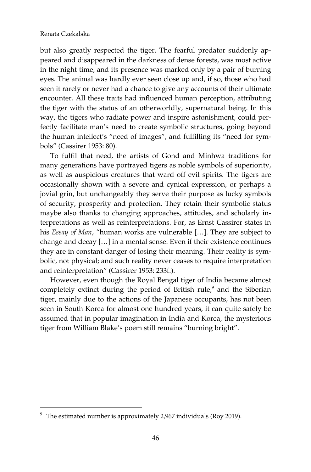$\overline{a}$ 

but also greatly respected the tiger. The fearful predator suddenly appeared and disappeared in the darkness of dense forests, was most active in the night time, and its presence was marked only by a pair of burning eyes. The animal was hardly ever seen close up and, if so, those who had seen it rarely or never had a chance to give any accounts of their ultimate encounter. All these traits had influenced human perception, attributing the tiger with the status of an otherworldly, supernatural being. In this way, the tigers who radiate power and inspire astonishment, could perfectly facilitate man's need to create symbolic structures, going beyond the human intellect's "need of images", and fulfilling its "need for symbols" (Cassirer 1953: 80).

To fulfil that need, the artists of Gond and Minhwa traditions for many generations have portrayed tigers as noble symbols of superiority, as well as auspicious creatures that ward off evil spirits. The tigers are occasionally shown with a severe and cynical expression, or perhaps a jovial grin, but unchangeably they serve their purpose as lucky symbols of security, prosperity and protection. They retain their symbolic status maybe also thanks to changing approaches, attitudes, and scholarly interpretations as well as reinterpretations. For, as Ernst Cassirer states in his *Essay of Man*, "human works are vulnerable […]. They are subject to change and decay […] in a mental sense. Even if their existence continues they are in constant danger of losing their meaning. Their reality is symbolic, not physical; and such reality never ceases to require interpretation and reinterpretation" (Cassirer 1953: 233f.).

However, even though the Royal Bengal tiger of India became almost completely extinct during the period of British rule,<sup>9</sup> and the Siberian tiger, mainly due to the actions of the Japanese occupants, has not been seen in South Korea for almost one hundred years, it can quite safely be assumed that in popular imagination in India and Korea, the mysterious tiger from William Blake's poem still remains "burning bright".

<sup>9</sup> The estimated number is approximately 2,967 individuals (Roy 2019).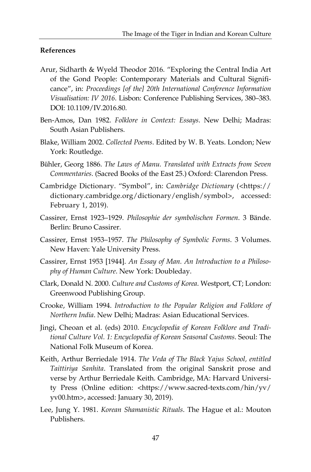### **References**

- Arur, Sidharth & Wyeld Theodor 2016. "Exploring the Central India Art of the Gond People: Contemporary Materials and Cultural Significance", in: *Proceedings [of the] 20th International Conference Information Visualisation: IV 2016*. Lisbon: Conference Publishing Services, 380–383. DOI: 10.1109/IV.2016.80.
- Ben-Amos, Dan 1982. *Folklore in Context: Essays*. New Delhi; Madras: South Asian Publishers.
- Blake, William 2002. *Collected Poems*. Edited by W. B. Yeats. London; New York: Routledge.
- Bühler, Georg 1886. *The Laws of Manu. Translated with Extracts from Seven Commentaries*. (Sacred Books of the East 25.) Oxford: Clarendon Press.
- Cambridge Dictionary. "Symbol", in: *Cambridge Dictionary* (<https:// dictionary.cambridge.org/dictionary/english/symbol>, accessed: February 1, 2019).
- Cassirer, Ernst 1923–1929. *Philosophie der symbolischen Formen*. 3 Bände. Berlin: Bruno Cassirer.
- Cassirer, Ernst 1953–1957. *The Philosophy of Symbolic Forms*. 3 Volumes. New Haven: Yale University Press.
- Cassirer, Ernst 1953 [1944]. *An Essay of Man. An Introduction to a Philosophy of Human Culture*. New York: Doubleday.
- Clark, Donald N. 2000. *Culture and Customs of Korea*. Westport, CT; London: Greenwood Publishing Group.
- Crooke, William 1994. *Introduction to the Popular Religion and Folklore of Northern India*. New Delhi; Madras: Asian Educational Services.
- Jingi, Cheoan et al. (eds) 2010. *Encyclopedia of Korean Folklore and Traditional Culture Vol. 1: Encyclopedia of Korean Seasonal Customs*. Seoul: The National Folk Museum of Korea.
- Keith, Arthur Berriedale 1914. *The Veda of The Black Yajus School, entitled Taittiriya Sanhita*. Translated from the original Sanskrit prose and verse by Arthur Berriedale Keith. Cambridge, MA: Harvard University Press (Online edition: <https://www.sacred-texts.com/hin/yv/ yv00.htm>, accessed: January 30, 2019).
- Lee, Jung Y. 1981. *Korean Shamanistic Rituals*. The Hague et al.: Mouton Publishers.